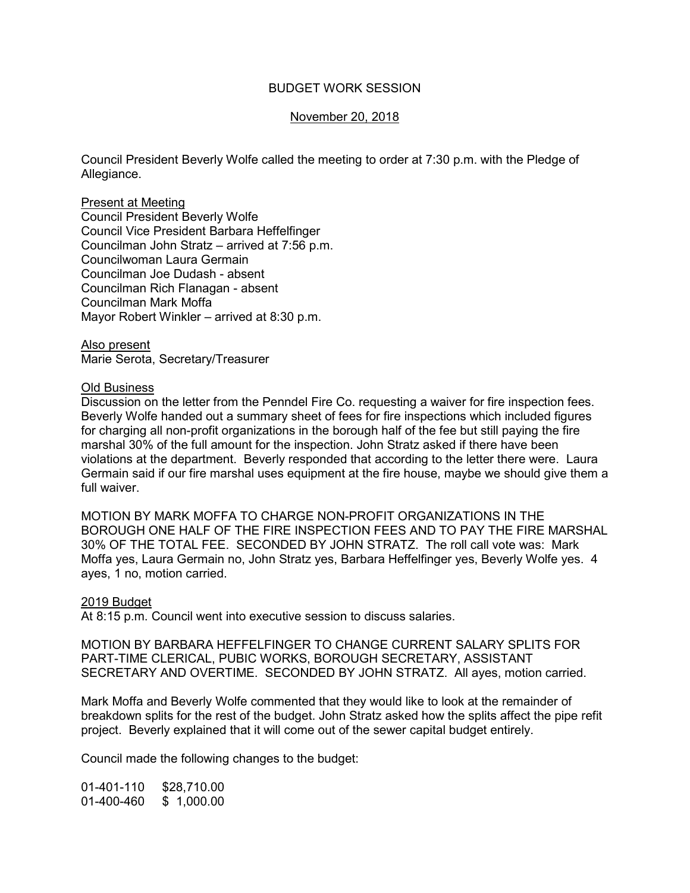# BUDGET WORK SESSION

# November 20, 2018

Council President Beverly Wolfe called the meeting to order at 7:30 p.m. with the Pledge of Allegiance.

#### Present at Meeting

Council President Beverly Wolfe Council Vice President Barbara Heffelfinger Councilman John Stratz – arrived at 7:56 p.m. Councilwoman Laura Germain Councilman Joe Dudash - absent Councilman Rich Flanagan - absent Councilman Mark Moffa Mayor Robert Winkler – arrived at 8:30 p.m.

Also present Marie Serota, Secretary/Treasurer

#### Old Business

Discussion on the letter from the Penndel Fire Co. requesting a waiver for fire inspection fees. Beverly Wolfe handed out a summary sheet of fees for fire inspections which included figures for charging all non-profit organizations in the borough half of the fee but still paying the fire marshal 30% of the full amount for the inspection. John Stratz asked if there have been violations at the department. Beverly responded that according to the letter there were. Laura Germain said if our fire marshal uses equipment at the fire house, maybe we should give them a full waiver.

MOTION BY MARK MOFFA TO CHARGE NON-PROFIT ORGANIZATIONS IN THE BOROUGH ONE HALF OF THE FIRE INSPECTION FEES AND TO PAY THE FIRE MARSHAL 30% OF THE TOTAL FEE. SECONDED BY JOHN STRATZ. The roll call vote was: Mark Moffa yes, Laura Germain no, John Stratz yes, Barbara Heffelfinger yes, Beverly Wolfe yes. 4 ayes, 1 no, motion carried.

### 2019 Budget

At 8:15 p.m. Council went into executive session to discuss salaries.

MOTION BY BARBARA HEFFELFINGER TO CHANGE CURRENT SALARY SPLITS FOR PART-TIME CLERICAL, PUBIC WORKS, BOROUGH SECRETARY, ASSISTANT SECRETARY AND OVERTIME. SECONDED BY JOHN STRATZ. All ayes, motion carried.

Mark Moffa and Beverly Wolfe commented that they would like to look at the remainder of breakdown splits for the rest of the budget. John Stratz asked how the splits affect the pipe refit project. Beverly explained that it will come out of the sewer capital budget entirely.

Council made the following changes to the budget:

01-401-110 \$28,710.00 01-400-460 \$ 1,000.00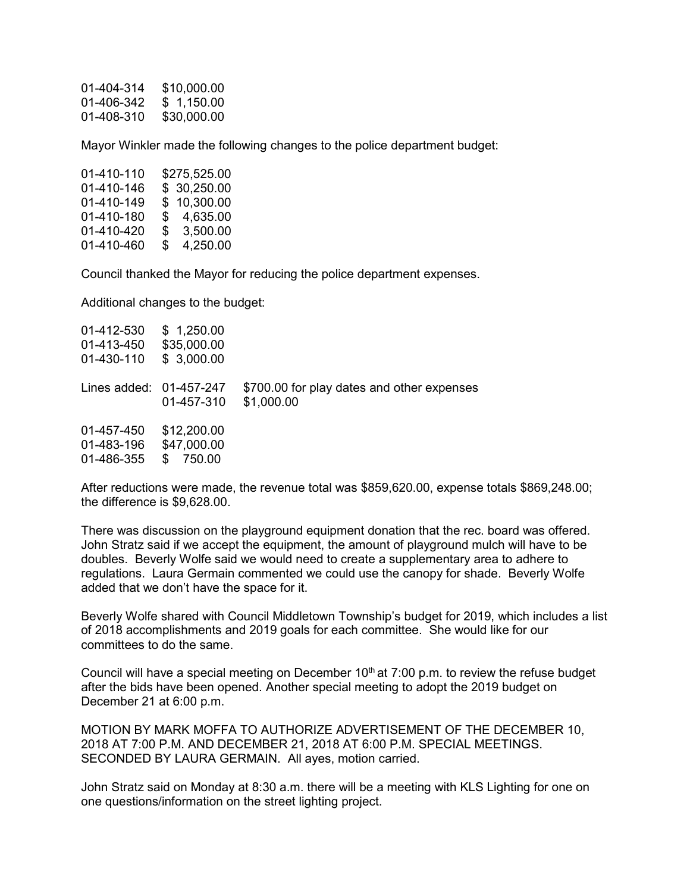| 01-404-314 | \$10,000.00 |
|------------|-------------|
| 01-406-342 | \$1,150.00  |
| 01-408-310 | \$30,000.00 |

Mayor Winkler made the following changes to the police department budget:

| 01-410-110 | \$275,525.00   |
|------------|----------------|
| 01-410-146 | \$ 30,250.00   |
| 01-410-149 | \$10,300.00    |
| 01-410-180 | 4,635.00<br>\$ |
| 01-410-420 | \$<br>3,500.00 |
| 01-410-460 | 4,250.00<br>S  |

Council thanked the Mayor for reducing the police department expenses.

Additional changes to the budget:

| 01-412-530<br>01-413-450<br>01-430-110 | \$1,250.00<br>\$35,000.00<br>\$3,000.00 |                                                          |
|----------------------------------------|-----------------------------------------|----------------------------------------------------------|
| Lines added: 01-457-247                | 01-457-310                              | \$700.00 for play dates and other expenses<br>\$1,000.00 |
| 01-457-450<br>01-483-196<br>01-486-355 | \$12,200.00<br>\$47,000.00<br>750.00    |                                                          |

After reductions were made, the revenue total was \$859,620.00, expense totals \$869,248.00; the difference is \$9,628.00.

There was discussion on the playground equipment donation that the rec. board was offered. John Stratz said if we accept the equipment, the amount of playground mulch will have to be doubles. Beverly Wolfe said we would need to create a supplementary area to adhere to regulations. Laura Germain commented we could use the canopy for shade. Beverly Wolfe added that we don't have the space for it.

Beverly Wolfe shared with Council Middletown Township's budget for 2019, which includes a list of 2018 accomplishments and 2019 goals for each committee. She would like for our committees to do the same.

Council will have a special meeting on December 10<sup>th</sup> at 7:00 p.m. to review the refuse budget after the bids have been opened. Another special meeting to adopt the 2019 budget on December 21 at 6:00 p.m.

MOTION BY MARK MOFFA TO AUTHORIZE ADVERTISEMENT OF THE DECEMBER 10, 2018 AT 7:00 P.M. AND DECEMBER 21, 2018 AT 6:00 P.M. SPECIAL MEETINGS. SECONDED BY LAURA GERMAIN. All ayes, motion carried.

John Stratz said on Monday at 8:30 a.m. there will be a meeting with KLS Lighting for one on one questions/information on the street lighting project.